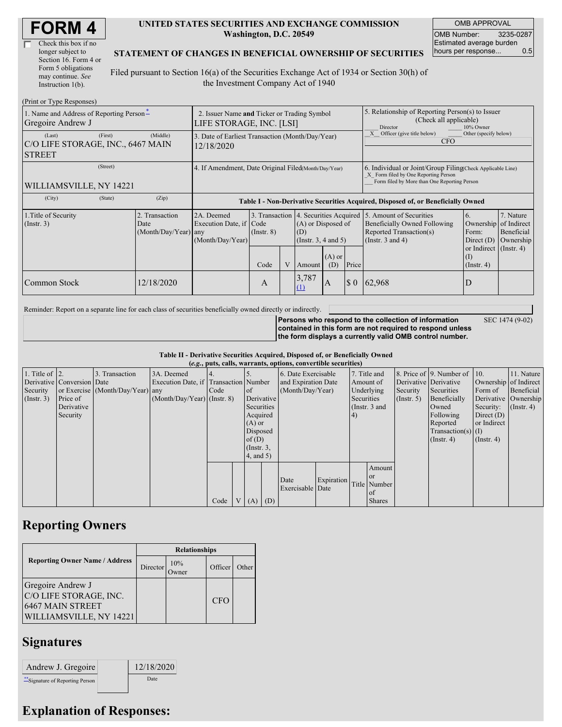| <b>FORM4</b> |  |
|--------------|--|
|--------------|--|

| Check this box if no  |
|-----------------------|
| longer subject to     |
| Section 16. Form 4 or |
| Form 5 obligations    |
| may continue. See     |
| Instruction 1(b).     |

#### **UNITED STATES SECURITIES AND EXCHANGE COMMISSION Washington, D.C. 20549**

OMB APPROVAL OMB Number: 3235-0287 Estimated average burden hours per response... 0.5

SEC 1474 (9-02)

#### **STATEMENT OF CHANGES IN BENEFICIAL OWNERSHIP OF SECURITIES**

Filed pursuant to Section 16(a) of the Securities Exchange Act of 1934 or Section 30(h) of the Investment Company Act of 1940

| (Print or Type Responses)                                                           |                                                                                  |                                                  |                                                                        |          |                                          |                                                                                                                                                                                   |                                                                                                                                 |                                                                                      |                                                     |
|-------------------------------------------------------------------------------------|----------------------------------------------------------------------------------|--------------------------------------------------|------------------------------------------------------------------------|----------|------------------------------------------|-----------------------------------------------------------------------------------------------------------------------------------------------------------------------------------|---------------------------------------------------------------------------------------------------------------------------------|--------------------------------------------------------------------------------------|-----------------------------------------------------|
| 1. Name and Address of Reporting Person-<br>Gregoire Andrew J                       |                                                                                  |                                                  |                                                                        |          |                                          | 5. Relationship of Reporting Person(s) to Issuer<br>(Check all applicable)<br>10% Owner<br>Director                                                                               |                                                                                                                                 |                                                                                      |                                                     |
| (First)<br>(Middle)<br>(Last)<br>C/O LIFE STORAGE, INC., 6467 MAIN<br><b>STREET</b> |                                                                                  |                                                  |                                                                        |          |                                          | Officer (give title below)<br>Other (specify below)<br><b>CFO</b>                                                                                                                 |                                                                                                                                 |                                                                                      |                                                     |
| (Street)<br>WILLIAMSVILLE, NY 14221                                                 |                                                                                  |                                                  |                                                                        |          |                                          | 6. Individual or Joint/Group Filing Check Applicable Line)<br>X Form filed by One Reporting Person<br>Form filed by More than One Reporting Person                                |                                                                                                                                 |                                                                                      |                                                     |
| (Zip)                                                                               | Table I - Non-Derivative Securities Acquired, Disposed of, or Beneficially Owned |                                                  |                                                                        |          |                                          |                                                                                                                                                                                   |                                                                                                                                 |                                                                                      |                                                     |
| 2. Transaction<br>Date                                                              |                                                                                  |                                                  |                                                                        | $(A)$ or |                                          |                                                                                                                                                                                   | Beneficially Owned Following<br>Reported Transaction(s)                                                                         | 6.<br>Ownership<br>Form:<br>Direct $(D)$<br>or Indirect $($ Instr. 4 $)$<br>$\rm(I)$ | 7. Nature<br>of Indirect<br>Beneficial<br>Ownership |
| 12/18/2020                                                                          |                                                                                  | A                                                |                                                                        | (1)      | (D)                                      |                                                                                                                                                                                   |                                                                                                                                 | $($ Instr. 4 $)$<br>D                                                                |                                                     |
|                                                                                     |                                                                                  | 12/18/2020<br>2A. Deemed<br>(Month/Day/Year) any | Execution Date, if Code<br>$($ Instr. $8)$<br>(Month/Day/Year)<br>Code |          | LIFE STORAGE, INC. [LSI]<br>(D)<br>3,787 | 2. Issuer Name and Ticker or Trading Symbol<br>3. Date of Earliest Transaction (Month/Day/Year)<br>4. If Amendment, Date Original Filed(Month/Day/Year)<br>Amount<br>$\mathbf{A}$ | 3. Transaction 4. Securities Acquired<br>(A) or Disposed of<br>(Instr. $3, 4$ and $5$ )<br>Price<br>$\boldsymbol{\mathsf{S}}$ 0 | 5. Amount of Securities<br>(Instr. $3$ and $4$ )<br> 62,968                          |                                                     |

Reminder: Report on a separate line for each class of securities beneficially owned directly or indirectly.

**Persons who respond to the collection of information contained in this form are not required to respond unless the form displays a currently valid OMB control number.**

**Table II - Derivative Securities Acquired, Disposed of, or Beneficially Owned**

|                        | (e.g., puts, calls, warrants, options, convertible securities) |                                  |                                       |      |                |                 |     |                     |            |            |               |                  |                              |                       |                      |
|------------------------|----------------------------------------------------------------|----------------------------------|---------------------------------------|------|----------------|-----------------|-----|---------------------|------------|------------|---------------|------------------|------------------------------|-----------------------|----------------------|
| 1. Title of $\vert$ 2. |                                                                | 3. Transaction                   | 3A. Deemed                            |      |                |                 |     | 6. Date Exercisable |            |            | 7. Title and  |                  | 8. Price of 9. Number of 10. |                       | 11. Nature           |
|                        | Derivative Conversion Date                                     |                                  | Execution Date, if Transaction Number |      |                |                 |     | and Expiration Date |            | Amount of  |               |                  | Derivative Derivative        | Ownership of Indirect |                      |
| Security               |                                                                | or Exercise (Month/Day/Year) any |                                       | Code |                | <sub>of</sub>   |     | (Month/Day/Year)    |            | Underlying |               | Security         | Securities                   | Form of               | Beneficial           |
| $($ Instr. 3 $)$       | Price of                                                       |                                  | $(Month/Day/Year)$ (Instr. 8)         |      |                | Derivative      |     |                     |            | Securities |               | $($ Instr. 5 $)$ | Beneficially                 |                       | Derivative Ownership |
|                        | Derivative                                                     |                                  |                                       |      |                | Securities      |     |                     |            |            | (Instr. 3 and |                  | Owned                        | Security:             | $($ Instr. 4 $)$     |
|                        | Security                                                       |                                  |                                       |      |                | Acquired        |     |                     |            | 4)         |               |                  | Following                    | Direct $(D)$          |                      |
|                        |                                                                |                                  |                                       |      |                | $(A)$ or        |     |                     |            |            |               |                  | Reported                     | or Indirect           |                      |
|                        |                                                                |                                  |                                       |      |                | Disposed        |     |                     |            |            |               |                  | Transaction(s) $(I)$         |                       |                      |
|                        |                                                                |                                  |                                       |      |                | of(D)           |     |                     |            |            |               |                  | $($ Instr. 4 $)$             | $($ Instr. 4 $)$      |                      |
|                        |                                                                |                                  |                                       |      |                | $($ Instr. $3,$ |     |                     |            |            |               |                  |                              |                       |                      |
|                        |                                                                |                                  |                                       |      |                | $4$ , and $5$ ) |     |                     |            |            |               |                  |                              |                       |                      |
|                        |                                                                |                                  |                                       |      |                |                 |     |                     |            |            | Amount        |                  |                              |                       |                      |
|                        |                                                                |                                  |                                       |      |                |                 |     |                     |            |            | <sub>or</sub> |                  |                              |                       |                      |
|                        |                                                                |                                  |                                       |      |                |                 |     | Date                | Expiration |            | Title Number  |                  |                              |                       |                      |
|                        |                                                                |                                  |                                       |      |                |                 |     | Exercisable Date    |            |            | of            |                  |                              |                       |                      |
|                        |                                                                |                                  |                                       | Code | V <sub>1</sub> | (A)             | (D) |                     |            |            | <b>Shares</b> |                  |                              |                       |                      |

### **Reporting Owners**

|                                                                                                   | <b>Relationships</b> |              |            |       |  |  |  |  |
|---------------------------------------------------------------------------------------------------|----------------------|--------------|------------|-------|--|--|--|--|
| <b>Reporting Owner Name / Address</b>                                                             | Director             | 10%<br>Owner | Officer    | Other |  |  |  |  |
| Gregoire Andrew J<br>C/O LIFE STORAGE, INC.<br><b>6467 MAIN STREET</b><br>WILLIAMSVILLE, NY 14221 |                      |              | <b>CFO</b> |       |  |  |  |  |

## **Signatures**

| Andrew J. Gregoire               | 12/18/2020 |
|----------------------------------|------------|
| ** Signature of Reporting Person | Date       |

# **Explanation of Responses:**